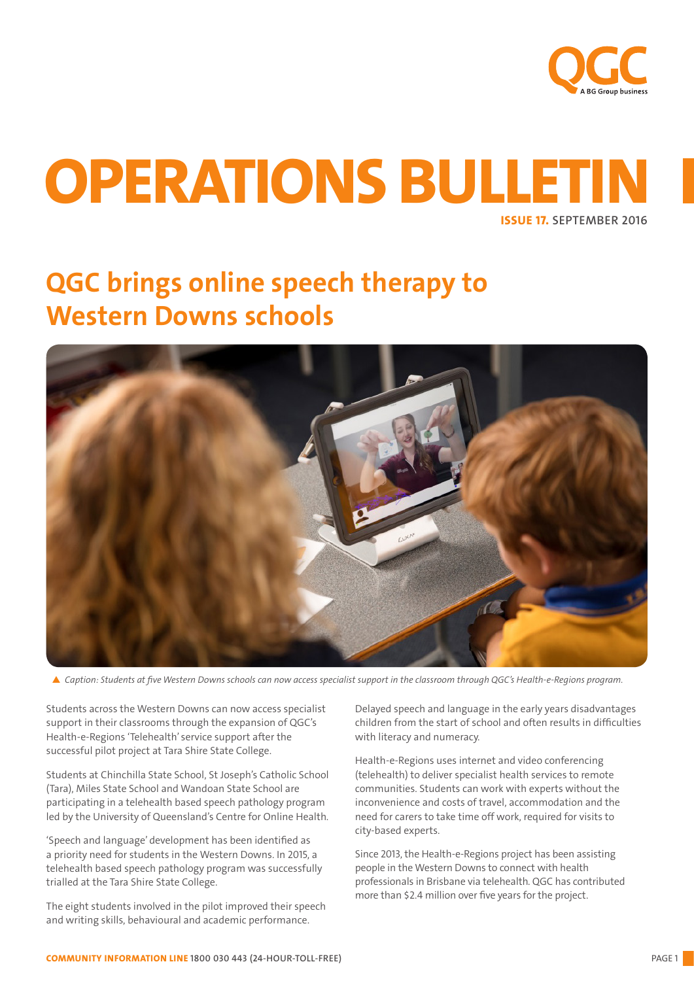

# ISSUE 17. SEPTEMBER 2016 OPERATIONS BULLETIN

# QGC brings online speech therapy to Western Downs schools



p *Caption: Students at five Western Downs schools can now access specialist support in the classroom through QGC's Health-e-Regions program.*

Students across the Western Downs can now access specialist support in their classrooms through the expansion of QGC's Health-e-Regions 'Telehealth' service support after the successful pilot project at Tara Shire State College.

Students at Chinchilla State School, St Joseph's Catholic School (Tara), Miles State School and Wandoan State School are participating in a telehealth based speech pathology program led by the University of Queensland's Centre for Online Health.

'Speech and language' development has been identified as a priority need for students in the Western Downs. In 2015, a telehealth based speech pathology program was successfully trialled at the Tara Shire State College.

The eight students involved in the pilot improved their speech and writing skills, behavioural and academic performance.

Delayed speech and language in the early years disadvantages children from the start of school and often results in difficulties with literacy and numeracy.

Health-e-Regions uses internet and video conferencing (telehealth) to deliver specialist health services to remote communities. Students can work with experts without the inconvenience and costs of travel, accommodation and the need for carers to take time off work, required for visits to city-based experts.

Since 2013, the Health-e-Regions project has been assisting people in the Western Downs to connect with health professionals in Brisbane via telehealth. QGC has contributed more than \$2.4 million over five years for the project.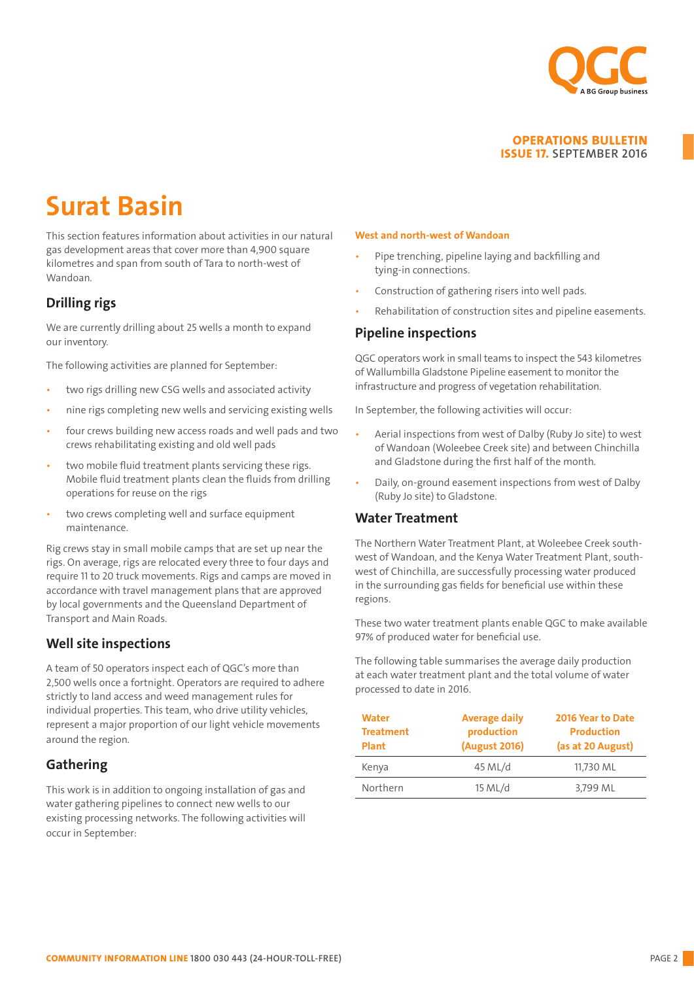

# Surat Basin

This section features information about activities in our natural gas development areas that cover more than 4,900 square kilometres and span from south of Tara to north-west of Wandoan.

## Drilling rigs

We are currently drilling about 25 wells a month to expand our inventory.

The following activities are planned for September:

- two rigs drilling new CSG wells and associated activity
- nine rigs completing new wells and servicing existing wells
- four crews building new access roads and well pads and two crews rehabilitating existing and old well pads
- two mobile fluid treatment plants servicing these rigs. Mobile fluid treatment plants clean the fluids from drilling operations for reuse on the rigs
- two crews completing well and surface equipment maintenance.

Rig crews stay in small mobile camps that are set up near the rigs. On average, rigs are relocated every three to four days and require 11 to 20 truck movements. Rigs and camps are moved in accordance with travel management plans that are approved by local governments and the Queensland Department of Transport and Main Roads.

## Well site inspections

A team of 50 operators inspect each of QGC's more than 2,500 wells once a fortnight. Operators are required to adhere strictly to land access and weed management rules for individual properties. This team, who drive utility vehicles, represent a major proportion of our light vehicle movements around the region.

## Gathering

This work is in addition to ongoing installation of gas and water gathering pipelines to connect new wells to our existing processing networks. The following activities will occur in September:

#### West and north-west of Wandoan

- Pipe trenching, pipeline laying and backfilling and tying-in connections.
- Construction of gathering risers into well pads.
- Rehabilitation of construction sites and pipeline easements.

## Pipeline inspections

QGC operators work in small teams to inspect the 543 kilometres of Wallumbilla Gladstone Pipeline easement to monitor the infrastructure and progress of vegetation rehabilitation.

In September, the following activities will occur:

- Aerial inspections from west of Dalby (Ruby Jo site) to west of Wandoan (Woleebee Creek site) and between Chinchilla and Gladstone during the first half of the month.
- Daily, on-ground easement inspections from west of Dalby (Ruby Jo site) to Gladstone.

## Water Treatment

The Northern Water Treatment Plant, at Woleebee Creek southwest of Wandoan, and the Kenya Water Treatment Plant, southwest of Chinchilla, are successfully processing water produced in the surrounding gas fields for beneficial use within these regions.

These two water treatment plants enable QGC to make available 97% of produced water for beneficial use.

The following table summarises the average daily production at each water treatment plant and the total volume of water processed to date in 2016.

| <b>Water</b><br><b>Treatment</b><br><b>Plant</b> | <b>Average daily</b><br>production<br>(August 2016) | 2016 Year to Date<br><b>Production</b><br>(as at 20 August) |
|--------------------------------------------------|-----------------------------------------------------|-------------------------------------------------------------|
| Kenya                                            | 45 ML/d                                             | 11,730 ML                                                   |
| Northern                                         | 15 ML/d                                             | 3,799 ML                                                    |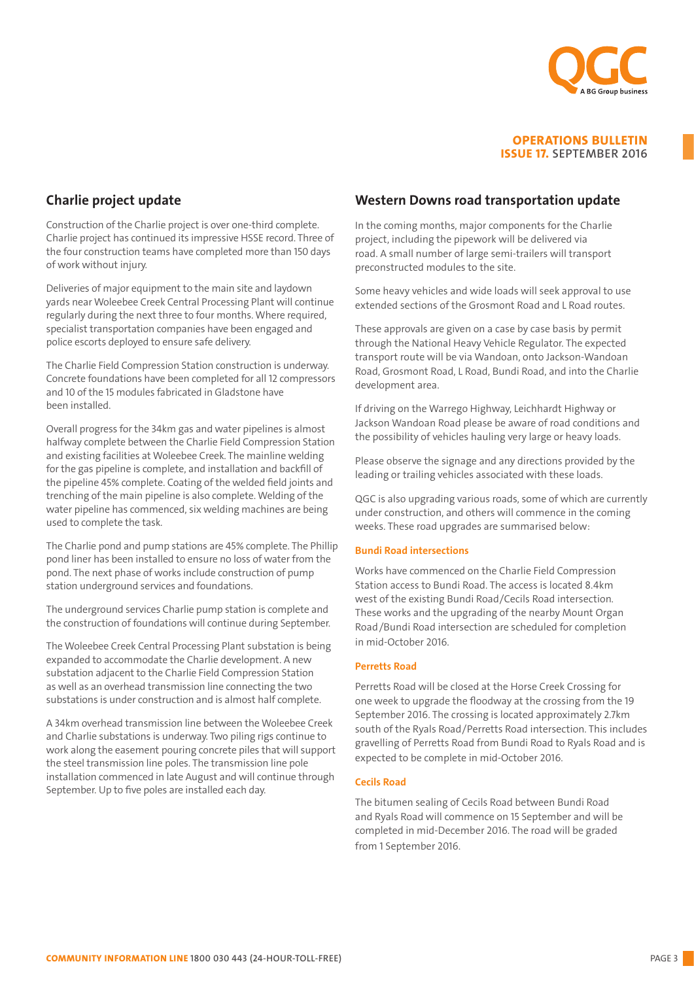

## Charlie project update

Construction of the Charlie project is over one-third complete. Charlie project has continued its impressive HSSE record. Three of the four construction teams have completed more than 150 days of work without injury.

Deliveries of major equipment to the main site and laydown yards near Woleebee Creek Central Processing Plant will continue regularly during the next three to four months. Where required, specialist transportation companies have been engaged and police escorts deployed to ensure safe delivery.

The Charlie Field Compression Station construction is underway. Concrete foundations have been completed for all 12 compressors and 10 of the 15 modules fabricated in Gladstone have been installed.

Overall progress for the 34km gas and water pipelines is almost halfway complete between the Charlie Field Compression Station and existing facilities at Woleebee Creek. The mainline welding for the gas pipeline is complete, and installation and backfill of the pipeline 45% complete. Coating of the welded field joints and trenching of the main pipeline is also complete. Welding of the water pipeline has commenced, six welding machines are being used to complete the task.

The Charlie pond and pump stations are 45% complete. The Phillip pond liner has been installed to ensure no loss of water from the pond. The next phase of works include construction of pump station underground services and foundations.

The underground services Charlie pump station is complete and the construction of foundations will continue during September.

The Woleebee Creek Central Processing Plant substation is being expanded to accommodate the Charlie development. A new substation adjacent to the Charlie Field Compression Station as well as an overhead transmission line connecting the two substations is under construction and is almost half complete.

A 34km overhead transmission line between the Woleebee Creek and Charlie substations is underway. Two piling rigs continue to work along the easement pouring concrete piles that will support the steel transmission line poles. The transmission line pole installation commenced in late August and will continue through September. Up to five poles are installed each day.

## Western Downs road transportation update

In the coming months, major components for the Charlie project, including the pipework will be delivered via road. A small number of large semi-trailers will transport preconstructed modules to the site.

Some heavy vehicles and wide loads will seek approval to use extended sections of the Grosmont Road and L Road routes.

These approvals are given on a case by case basis by permit through the National Heavy Vehicle Regulator. The expected transport route will be via Wandoan, onto Jackson-Wandoan Road, Grosmont Road, L Road, Bundi Road, and into the Charlie development area.

If driving on the Warrego Highway, Leichhardt Highway or Jackson Wandoan Road please be aware of road conditions and the possibility of vehicles hauling very large or heavy loads.

Please observe the signage and any directions provided by the leading or trailing vehicles associated with these loads.

QGC is also upgrading various roads, some of which are currently under construction, and others will commence in the coming weeks. These road upgrades are summarised below:

#### Bundi Road intersections

Works have commenced on the Charlie Field Compression Station access to Bundi Road. The access is located 8.4km west of the existing Bundi Road/Cecils Road intersection. These works and the upgrading of the nearby Mount Organ Road/Bundi Road intersection are scheduled for completion in mid-October 2016.

#### Perretts Road

Perretts Road will be closed at the Horse Creek Crossing for one week to upgrade the floodway at the crossing from the 19 September 2016. The crossing is located approximately 2.7km south of the Ryals Road/Perretts Road intersection. This includes gravelling of Perretts Road from Bundi Road to Ryals Road and is expected to be complete in mid-October 2016.

#### Cecils Road

The bitumen sealing of Cecils Road between Bundi Road and Ryals Road will commence on 15 September and will be completed in mid-December 2016. The road will be graded from 1 September 2016.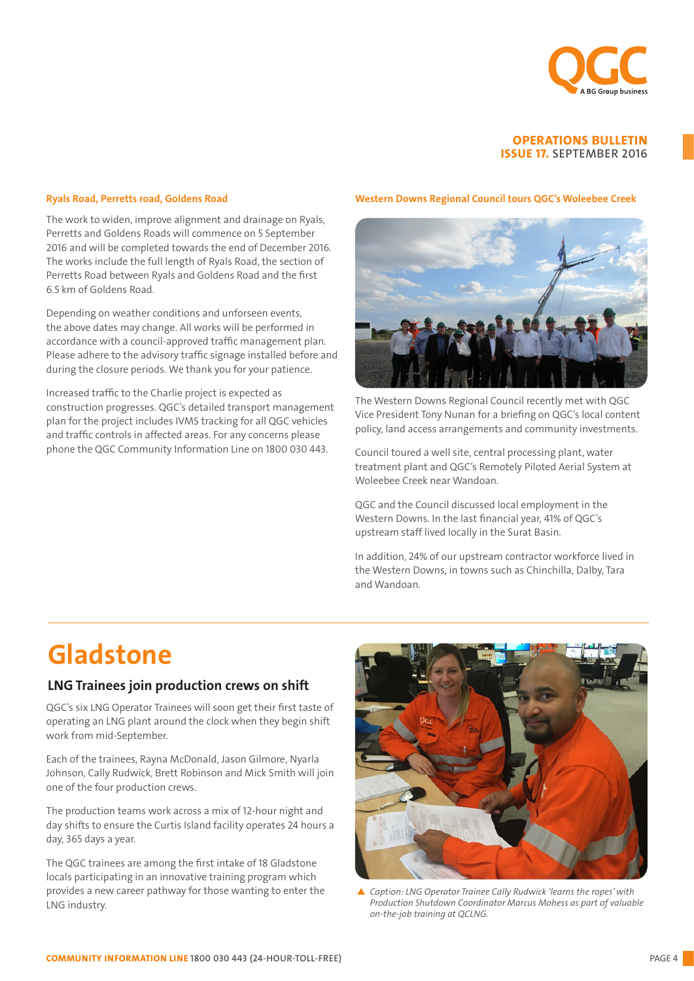

#### Ryals Road, Perretts road, Goldens Road

The work to widen, improve alignment and drainage on Ryals, Perretts and Goldens Roads will commence on 5 September 2016 and will be completed towards the end of December 2016. The works include the full length of Ryals Road, the section of Perretts Road between Ryals and Goldens Road and the first 6.5 km of Goldens Road.

Depending on weather conditions and unforseen events, the above dates may change. All works will be performed in accordance with a council-approved traffic management plan. Please adhere to the advisory traffic signage installed before and during the closure periods. We thank you for your patience.

Increased traffic to the Charlie project is expected as construction progresses. QGC's detailed transport management plan for the project includes IVMS tracking for all QGC vehicles and traffic controls in affected areas. For any concerns please phone the QGC Community Information Line on 1800 030 443.

#### Western Downs Regional Council tours QGC's Woleebee Creek



The Western Downs Regional Council recently met with QGC Vice President Tony Nunan for a briefing on QGC's local content policy, land access arrangements and community investments.

Council toured a well site, central processing plant, water treatment plant and QGC's Remotely Piloted Aerial System at Woleebee Creek near Wandoan.

QGC and the Council discussed local employment in the Western Downs. In the last financial year, 41% of QGC's upstream staff lived locally in the Surat Basin.

In addition, 24% of our upstream contractor workforce lived in the Western Downs, in towns such as Chinchilla, Dalby, Tara and Wandoan.

## Gladstone

### LNG Trainees join production crews on shift

QGC's six LNG Operator Trainees will soon get their first taste of operating an LNG plant around the clock when they begin shift work from mid-September.

Each of the trainees, Rayna McDonald, Jason Gilmore, Nyarla Johnson, Cally Rudwick, Brett Robinson and Mick Smith will join one of the four production crews.

The production teams work across a mix of 12-hour night and day shifts to ensure the Curtis Island facility operates 24 hours a day, 365 days a year.

The QGC trainees are among the first intake of 18 Gladstone locals participating in an innovative training program which provides a new career pathway for those wanting to enter the LNG industry.



▲ Caption: LNG Operator Trainee Cally Rudwick 'learns the ropes' with *Production Shutdown Coordinator Marcus Mohess as part of valuable on-the-job training at QCLNG.*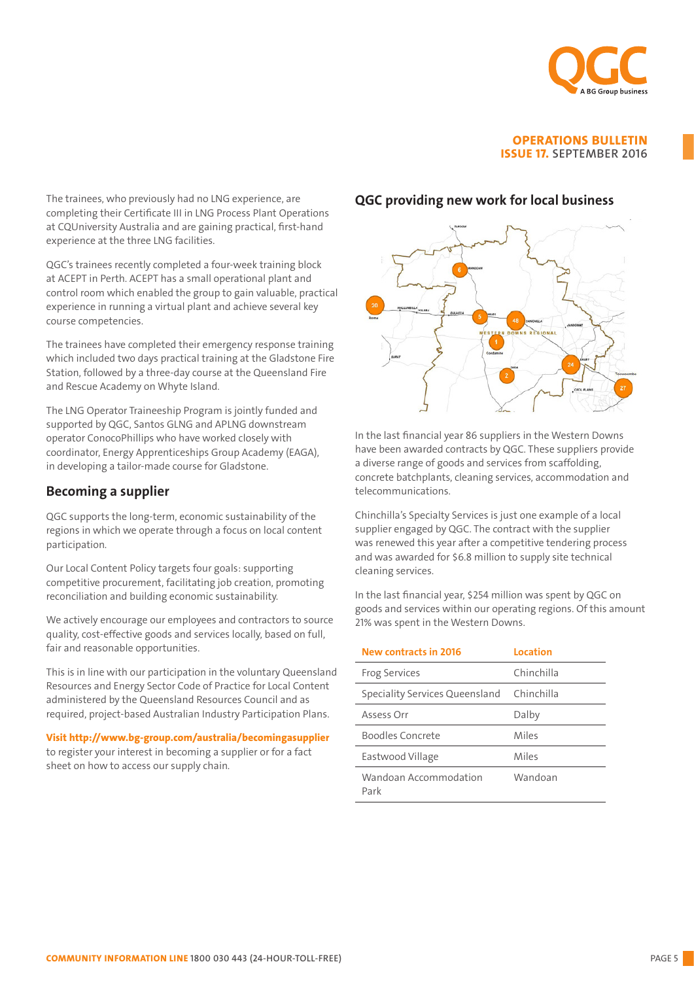

The trainees, who previously had no LNG experience, are completing their Certificate III in LNG Process Plant Operations at CQUniversity Australia and are gaining practical, first-hand experience at the three LNG facilities.

QGC's trainees recently completed a four-week training block at ACEPT in Perth. ACEPT has a small operational plant and control room which enabled the group to gain valuable, practical experience in running a virtual plant and achieve several key course competencies.

The trainees have completed their emergency response training which included two days practical training at the Gladstone Fire Station, followed by a three-day course at the Queensland Fire and Rescue Academy on Whyte Island.

The LNG Operator Traineeship Program is jointly funded and supported by QGC, Santos GLNG and APLNG downstream operator ConocoPhillips who have worked closely with coordinator, Energy Apprenticeships Group Academy (EAGA), in developing a tailor-made course for Gladstone.

## Becoming a supplier

QGC supports the long-term, economic sustainability of the regions in which we operate through a focus on local content participation.

Our Local Content Policy targets four goals: supporting competitive procurement, facilitating job creation, promoting reconciliation and building economic sustainability.

We actively encourage our employees and contractors to source quality, cost-effective goods and services locally, based on full, fair and reasonable opportunities.

This is in line with our participation in the voluntary Queensland Resources and Energy Sector Code of Practice for Local Content administered by the Queensland Resources Council and as required, project-based Australian Industry Participation Plans.

Visit http://www.bg-group.com/australia/becomingasupplier to register your interest in becoming a supplier or for a fact sheet on how to access our supply chain.

### QGC providing new work for local business



In the last financial year 86 suppliers in the Western Downs have been awarded contracts by QGC. These suppliers provide a diverse range of goods and services from scaffolding, concrete batchplants, cleaning services, accommodation and telecommunications.

Chinchilla's Specialty Services is just one example of a local supplier engaged by QGC. The contract with the supplier was renewed this year after a competitive tendering process and was awarded for \$6.8 million to supply site technical cleaning services.

In the last financial year, \$254 million was spent by QGC on goods and services within our operating regions. Of this amount 21% was spent in the Western Downs.

| <b>New contracts in 2016</b>   | Location   |
|--------------------------------|------------|
| <b>Frog Services</b>           | Chinchilla |
| Speciality Services Queensland | Chinchilla |
| Assess Orr                     | Dalby      |
| Boodles Concrete               | Miles      |
| Eastwood Village               | Miles      |
| Wandoan Accommodation<br>Park  | Wandoan    |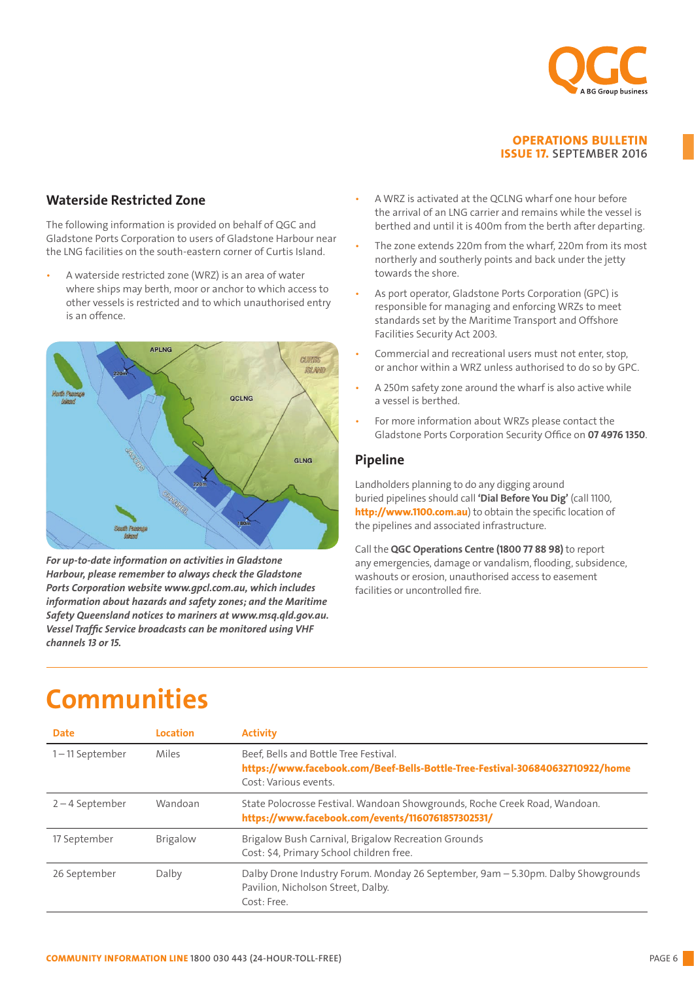

## Waterside Restricted Zone

The following information is provided on behalf of QGC and Gladstone Ports Corporation to users of Gladstone Harbour near the LNG facilities on the south-eastern corner of Curtis Island.

• A waterside restricted zone (WRZ) is an area of water where ships may berth, moor or anchor to which access to other vessels is restricted and to which unauthorised entry is an offence. other vessels is restricted and to which unauthorised entry responsible for managing and enforcing WRZs to meet



Harbour, please remember to always check the Gladstone Ports Corporation website www.gpcl.com.au, which includes information about hazards and safety zones; and the Maritime  $\frac{1}{2}$  ,  $\frac{1}{2}$  ,  $\frac{1}{2}$  ,  $\frac{1}{2}$  ,  $\frac{1}{2}$  ,  $\frac{1}{2}$  ,  $\frac{1}{2}$  ,  $\frac{1}{2}$  ,  $\frac{1}{2}$  ,  $\frac{1}{2}$  ,  $\frac{1}{2}$  ,  $\frac{1}{2}$  ,  $\frac{1}{2}$  ,  $\frac{1}{2}$  ,  $\frac{1}{2}$  ,  $\frac{1}{2}$  ,  $\frac{1}{2}$  ,  $\frac{1}{2}$  ,  $\frac{1$ Safety Queensland notices to mariners at www.msq.qld.gov.au. *For up-to-date information on activities in Gladstone Vessel Traffic Service broadcasts can be monitored using VHF channels 13 or 15.*

- one annumeror and contains while the respect is<br>berthed and until it is 400m from the berth after departing. IS DETERMINER APPARENTLE. • A WRZ is activated at the QCLNG wharf one hour before the arrival of an LNG carrier and remains while the vessel is
- The zone extends 220m from the wharf, 220m from its most northerly and southerly points and back under the jetty towards the shore.
- is an offence.<br>  $\blacksquare$  is an offence (Surtis Island. A water of water of water of water and Offshore  $\blacksquare$  is an area of water where  $\blacksquare$  is an area of water where  $\blacksquare$  is an area of water where  $\blacksquare$  is an area o ships may berth, moor or anchor to which access to other As port operator, Gladstone Ports Corporation (GPC) is Facilities Security Act 2003.
	- Commercial and recreational users must not enter, stop, or anchor within a WRZ unless authorised to do so by GPC.
	- A 250m safety zone around the wharf is also active while a vessel is berthed.
	- For more information about WRZs please contact the Gladstone Ports Corporation Security Office on **07 4976 1350**.

#### northerly and southerly points and back under the jetty points and back under the jetty points and back under Pipeline

Landholders planning to do any digging around buried pipelines should call 'Dial Before You Dig' (call 1100, http://www.1100.com.au) to obtain the specific location of the pipelines and associated infrastructure.

Call the QGC Operations Centre (1800 77 88 98) to report can the **QC operations centre (1800** *TT* **88 58)** to report<br>any emergencies, damage or vandalism, flooding, subsidence, washouts or erosion, unauthorised access to easement facilities or uncontrolled fire.

## Pipeline (1989)<br>Pipeline (1989)<br>Pipeline (1989) Landholders planning to do any digging around buried pipelines should call 'Dial Before You Dig' (call 1100, http://www.1100.com.au) Communities

| <b>Date</b>       | Location        | <b>Activity</b>                                                                                                                                 |
|-------------------|-----------------|-------------------------------------------------------------------------------------------------------------------------------------------------|
| 1-11 September    | Miles           | Beef. Bells and Bottle Tree Festival.<br>https://www.facebook.com/Beef-Bells-Bottle-Tree-Festival-306840632710922/home<br>Cost: Various events. |
| $2 - 4$ September | Wandoan         | State Polocrosse Festival. Wandoan Showgrounds, Roche Creek Road, Wandoan.<br>https://www.facebook.com/events/1160761857302531/                 |
| 17 September      | <b>Brigalow</b> | Brigalow Bush Carnival, Brigalow Recreation Grounds<br>Cost: \$4, Primary School children free.                                                 |
| 26 September      | Dalby           | Dalby Drone Industry Forum. Monday 26 September, 9am - 5.30pm. Dalby Showgrounds<br>Pavilion, Nicholson Street, Dalby.<br>Cost: Free.           |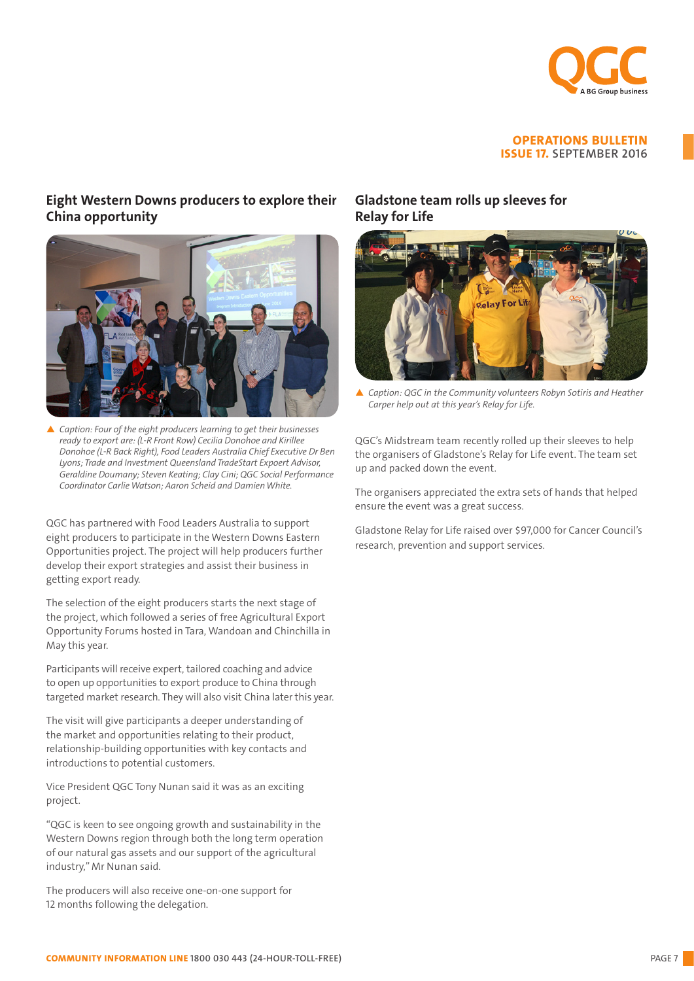

## Eight Western Downs producers to explore their China opportunity



p *Caption: Four of the eight producers learning to get their businesses ready to export are: (L-R Front Row) Cecilia Donohoe and Kirillee Donohoe (L-R Back Right), Food Leaders Australia Chief Executive Dr Ben Lyons; Trade and Investment Queensland TradeStart Expoert Advisor, Geraldine Doumany; Steven Keating; Clay Cini; QGC Social Performance Coordinator Carlie Watson; Aaron Scheid and Damien White.*

QGC has partnered with Food Leaders Australia to support eight producers to participate in the Western Downs Eastern Opportunities project. The project will help producers further develop their export strategies and assist their business in getting export ready.

The selection of the eight producers starts the next stage of the project, which followed a series of free Agricultural Export Opportunity Forums hosted in Tara, Wandoan and Chinchilla in May this year.

Participants will receive expert, tailored coaching and advice to open up opportunities to export produce to China through targeted market research. They will also visit China later this year.

The visit will give participants a deeper understanding of the market and opportunities relating to their product, relationship-building opportunities with key contacts and introductions to potential customers.

Vice President QGC Tony Nunan said it was as an exciting project.

"QGC is keen to see ongoing growth and sustainability in the Western Downs region through both the long term operation of our natural gas assets and our support of the agricultural industry," Mr Nunan said.

The producers will also receive one-on-one support for 12 months following the delegation.

## Gladstone team rolls up sleeves for Relay for Life



▲ Caption: QGC in the Community volunteers Robyn Sotiris and Heather *Carper help out at this year's Relay for Life.* 

QGC's Midstream team recently rolled up their sleeves to help the organisers of Gladstone's Relay for Life event. The team set up and packed down the event.

The organisers appreciated the extra sets of hands that helped ensure the event was a great success.

Gladstone Relay for Life raised over \$97,000 for Cancer Council's research, prevention and support services.